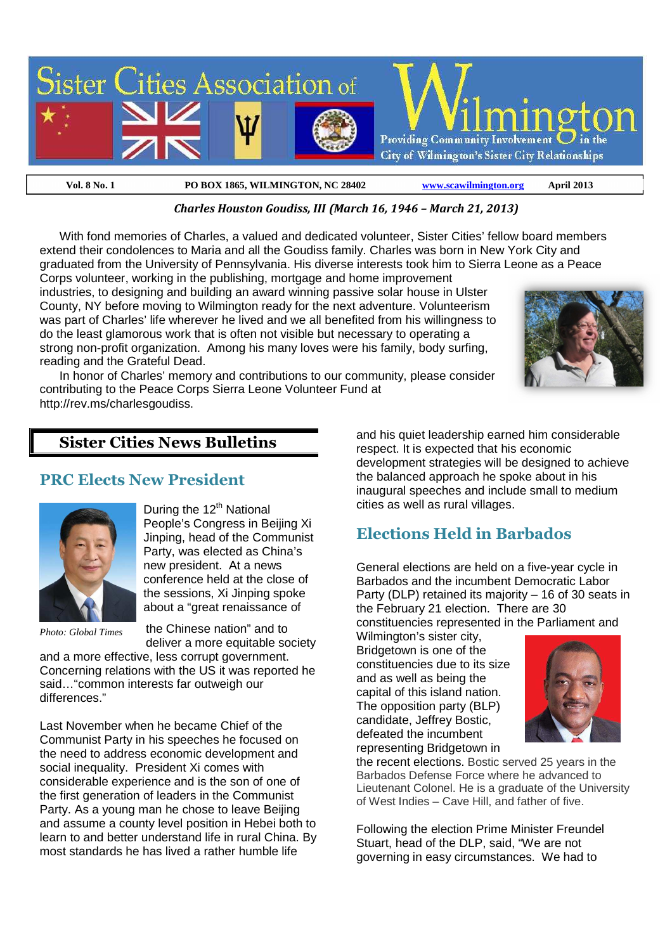

 $\overline{a}$ 

**Vol. 8 No. 1 PO BOX 1865, WILMINGTON, NC 28402 www.scawilmington.org April 2013**

#### *Charles Houston Goudiss, III (March 16, 1946 – March 21, 2013)*

With fond memories of Charles, a valued and dedicated volunteer, Sister Cities' fellow board members extend their condolences to Maria and all the Goudiss family. Charles was born in New York City and graduated from the University of Pennsylvania. His diverse interests took him to Sierra Leone as a Peace

Corps volunteer, working in the publishing, mortgage and home improvement industries, to designing and building an award winning passive solar house in Ulster County, NY before moving to Wilmington ready for the next adventure. Volunteerism was part of Charles' life wherever he lived and we all benefited from his willingness to do the least glamorous work that is often not visible but necessary to operating a strong non-profit organization. Among his many loves were his family, body surfing, reading and the Grateful Dead.

In honor of Charles' memory and contributions to our community, please consider contributing to the Peace Corps Sierra Leone Volunteer Fund at http://rev.ms/charlesgoudiss.

## **Sister Cities News Bulletins**

#### **PRC Elects New President**



*Photo: Global Times*

During the 12<sup>th</sup> National People's Congress in Beijing Xi Jinping, head of the Communist Party, was elected as China's new president. At a news conference held at the close of the sessions, Xi Jinping spoke about a "great renaissance of

the Chinese nation" and to deliver a more equitable society

and a more effective, less corrupt government. Concerning relations with the US it was reported he said…"common interests far outweigh our differences."

Last November when he became Chief of the Communist Party in his speeches he focused on the need to address economic development and social inequality. President Xi comes with considerable experience and is the son of one of the first generation of leaders in the Communist Party. As a young man he chose to leave Beijing and assume a county level position in Hebei both to learn to and better understand life in rural China. By most standards he has lived a rather humble life

and his quiet leadership earned him considerable respect. It is expected that his economic development strategies will be designed to achieve the balanced approach he spoke about in his inaugural speeches and include small to medium cities as well as rural villages.

# **Elections Held in Barbados**

General elections are held on a five-year cycle in Barbados and the incumbent Democratic Labor Party (DLP) retained its majority – 16 of 30 seats in the February 21 election. There are 30 constituencies represented in the Parliament and

Wilmington's sister city, Bridgetown is one of the constituencies due to its size and as well as being the capital of this island nation. The opposition party (BLP) candidate, Jeffrey Bostic, defeated the incumbent representing Bridgetown in



the recent elections. Bostic served 25 years in the Barbados Defense Force where he advanced to Lieutenant Colonel. He is a graduate of the University of West Indies – Cave Hill, and father of five.

Following the election Prime Minister Freundel Stuart, head of the DLP, said, "We are not governing in easy circumstances. We had to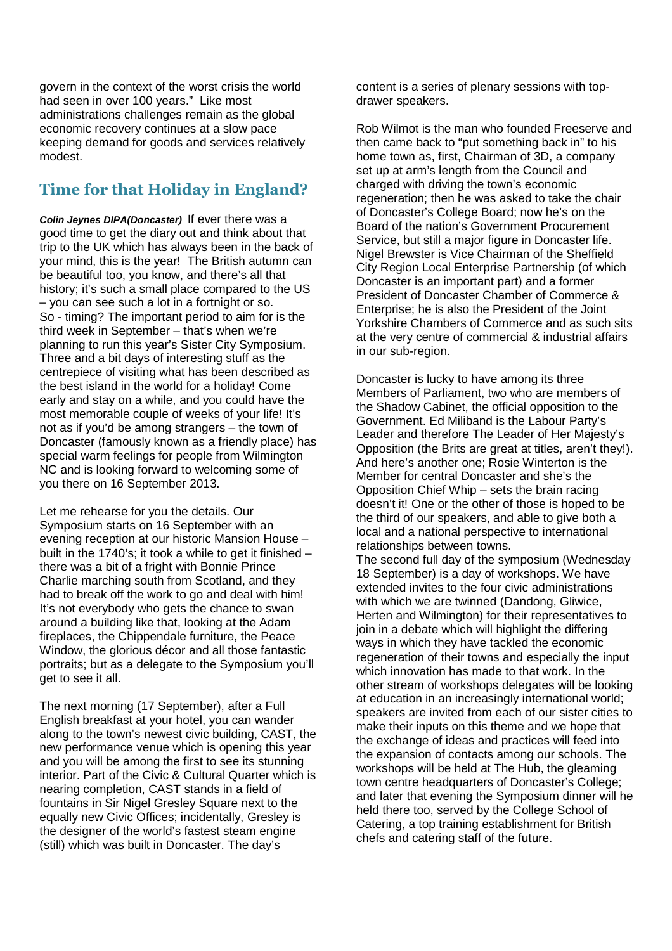govern in the context of the worst crisis the world had seen in over 100 years." Like most administrations challenges remain as the global economic recovery continues at a slow pace keeping demand for goods and services relatively modest.

## **Time for that Holiday in England?**

**Colin Jeynes DIPA(Doncaster)** If ever there was a good time to get the diary out and think about that trip to the UK which has always been in the back of your mind, this is the year! The British autumn can be beautiful too, you know, and there's all that history; it's such a small place compared to the US – you can see such a lot in a fortnight or so. So - timing? The important period to aim for is the third week in September – that's when we're planning to run this year's Sister City Symposium. Three and a bit days of interesting stuff as the centrepiece of visiting what has been described as the best island in the world for a holiday! Come early and stay on a while, and you could have the most memorable couple of weeks of your life! It's not as if you'd be among strangers – the town of Doncaster (famously known as a friendly place) has special warm feelings for people from Wilmington NC and is looking forward to welcoming some of you there on 16 September 2013.

Let me rehearse for you the details. Our Symposium starts on 16 September with an evening reception at our historic Mansion House – built in the 1740's; it took a while to get it finished – there was a bit of a fright with Bonnie Prince Charlie marching south from Scotland, and they had to break off the work to go and deal with him! It's not everybody who gets the chance to swan around a building like that, looking at the Adam fireplaces, the Chippendale furniture, the Peace Window, the glorious décor and all those fantastic portraits; but as a delegate to the Symposium you'll get to see it all.

The next morning (17 September), after a Full English breakfast at your hotel, you can wander along to the town's newest civic building, CAST, the new performance venue which is opening this year and you will be among the first to see its stunning interior. Part of the Civic & Cultural Quarter which is nearing completion, CAST stands in a field of fountains in Sir Nigel Gresley Square next to the equally new Civic Offices; incidentally, Gresley is the designer of the world's fastest steam engine (still) which was built in Doncaster. The day's

content is a series of plenary sessions with topdrawer speakers.

Rob Wilmot is the man who founded Freeserve and then came back to "put something back in" to his home town as, first, Chairman of 3D, a company set up at arm's length from the Council and charged with driving the town's economic regeneration; then he was asked to take the chair of Doncaster's College Board; now he's on the Board of the nation's Government Procurement Service, but still a major figure in Doncaster life. Nigel Brewster is Vice Chairman of the Sheffield City Region Local Enterprise Partnership (of which Doncaster is an important part) and a former President of Doncaster Chamber of Commerce & Enterprise; he is also the President of the Joint Yorkshire Chambers of Commerce and as such sits at the very centre of commercial & industrial affairs in our sub-region.

Doncaster is lucky to have among its three Members of Parliament, two who are members of the Shadow Cabinet, the official opposition to the Government. Ed Miliband is the Labour Party's Leader and therefore The Leader of Her Majesty's Opposition (the Brits are great at titles, aren't they!). And here's another one; Rosie Winterton is the Member for central Doncaster and she's the Opposition Chief Whip – sets the brain racing doesn't it! One or the other of those is hoped to be the third of our speakers, and able to give both a local and a national perspective to international relationships between towns.

The second full day of the symposium (Wednesday 18 September) is a day of workshops. We have extended invites to the four civic administrations with which we are twinned (Dandong, Gliwice, Herten and Wilmington) for their representatives to join in a debate which will highlight the differing ways in which they have tackled the economic regeneration of their towns and especially the input which innovation has made to that work. In the other stream of workshops delegates will be looking at education in an increasingly international world; speakers are invited from each of our sister cities to make their inputs on this theme and we hope that the exchange of ideas and practices will feed into the expansion of contacts among our schools. The workshops will be held at The Hub, the gleaming town centre headquarters of Doncaster's College; and later that evening the Symposium dinner will he held there too, served by the College School of Catering, a top training establishment for British chefs and catering staff of the future.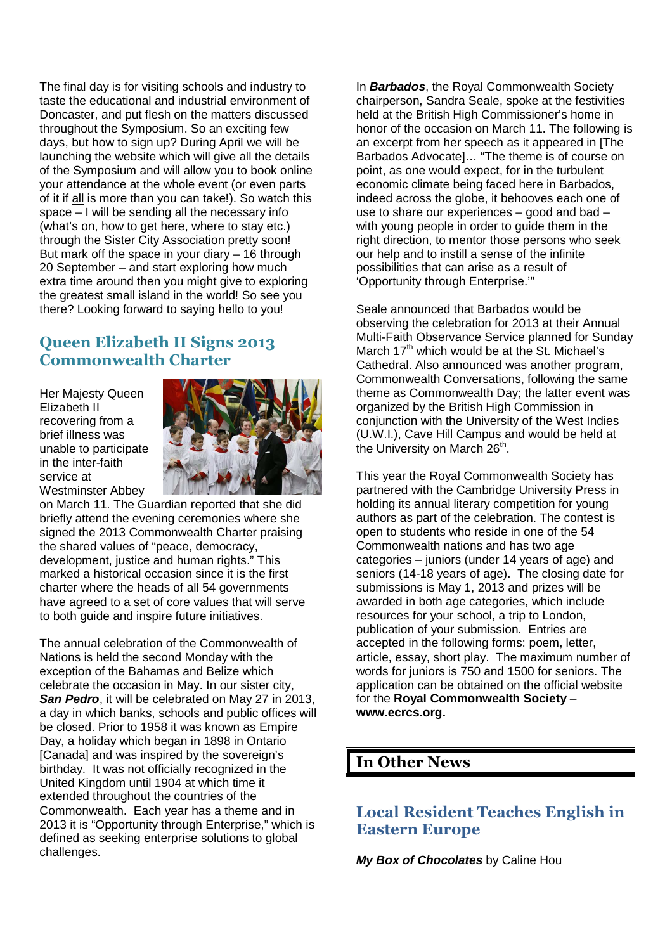The final day is for visiting schools and industry to taste the educational and industrial environment of Doncaster, and put flesh on the matters discussed throughout the Symposium. So an exciting few days, but how to sign up? During April we will be launching the website which will give all the details of the Symposium and will allow you to book online your attendance at the whole event (or even parts of it if all is more than you can take!). So watch this space – I will be sending all the necessary info (what's on, how to get here, where to stay etc.) through the Sister City Association pretty soon! But mark off the space in your diary – 16 through 20 September – and start exploring how much extra time around then you might give to exploring the greatest small island in the world! So see you there? Looking forward to saying hello to you!

### **Queen Elizabeth II Signs 2013 Commonwealth Charter**

Her Majesty Queen Elizabeth II recovering from a brief illness was unable to participate in the inter-faith service at Westminster Abbey



on March 11. The Guardian reported that she did briefly attend the evening ceremonies where she signed the 2013 Commonwealth Charter praising the shared values of "peace, democracy, development, justice and human rights." This marked a historical occasion since it is the first charter where the heads of all 54 governments have agreed to a set of core values that will serve to both guide and inspire future initiatives.

The annual celebration of the Commonwealth of Nations is held the second Monday with the exception of the Bahamas and Belize which celebrate the occasion in May. In our sister city, **San Pedro**, it will be celebrated on May 27 in 2013, a day in which banks, schools and public offices will be closed. Prior to 1958 it was known as Empire Day, a holiday which began in 1898 in Ontario [Canada] and was inspired by the sovereign's birthday. It was not officially recognized in the United Kingdom until 1904 at which time it extended throughout the countries of the Commonwealth. Each year has a theme and in 2013 it is "Opportunity through Enterprise," which is defined as seeking enterprise solutions to global challenges.

In **Barbados**, the Royal Commonwealth Society chairperson, Sandra Seale, spoke at the festivities held at the British High Commissioner's home in honor of the occasion on March 11. The following is an excerpt from her speech as it appeared in [The Barbados Advocate]… "The theme is of course on point, as one would expect, for in the turbulent economic climate being faced here in Barbados, indeed across the globe, it behooves each one of use to share our experiences – good and bad – with young people in order to guide them in the right direction, to mentor those persons who seek our help and to instill a sense of the infinite possibilities that can arise as a result of 'Opportunity through Enterprise.'"

Seale announced that Barbados would be observing the celebration for 2013 at their Annual Multi-Faith Observance Service planned for Sunday March  $17<sup>th</sup>$  which would be at the St. Michael's Cathedral. Also announced was another program, Commonwealth Conversations, following the same theme as Commonwealth Day; the latter event was organized by the British High Commission in conjunction with the University of the West Indies (U.W.I.), Cave Hill Campus and would be held at the University on March 26<sup>th</sup>.

This year the Royal Commonwealth Society has partnered with the Cambridge University Press in holding its annual literary competition for young authors as part of the celebration. The contest is open to students who reside in one of the 54 Commonwealth nations and has two age categories – juniors (under 14 years of age) and seniors (14-18 years of age). The closing date for submissions is May 1, 2013 and prizes will be awarded in both age categories, which include resources for your school, a trip to London, publication of your submission. Entries are accepted in the following forms: poem, letter, article, essay, short play. The maximum number of words for juniors is 750 and 1500 for seniors. The application can be obtained on the official website for the **Royal Commonwealth Society** – **www.ecrcs.org.**

## **In Other News**

### **Local Resident Teaches English in Eastern Europe**

**My Box of Chocolates** by Caline Hou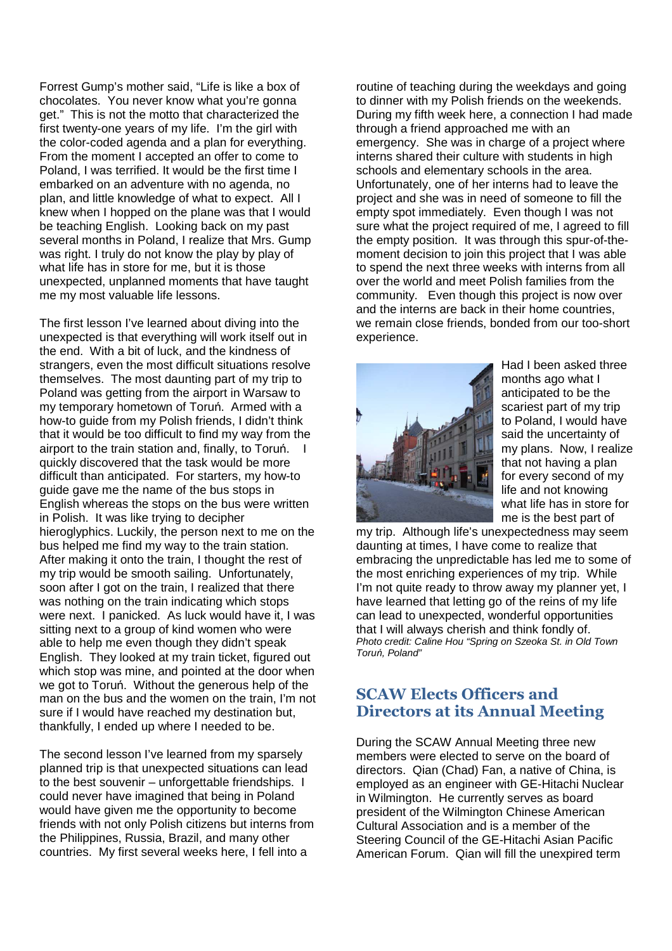Forrest Gump's mother said, "Life is like a box of chocolates. You never know what you're gonna get." This is not the motto that characterized the first twenty-one years of my life. I'm the girl with the color-coded agenda and a plan for everything. From the moment I accepted an offer to come to Poland, I was terrified. It would be the first time I embarked on an adventure with no agenda, no plan, and little knowledge of what to expect. All I knew when I hopped on the plane was that I would be teaching English. Looking back on my past several months in Poland, I realize that Mrs. Gump was right. I truly do not know the play by play of what life has in store for me, but it is those unexpected, unplanned moments that have taught me my most valuable life lessons.

The first lesson I've learned about diving into the unexpected is that everything will work itself out in the end. With a bit of luck, and the kindness of strangers, even the most difficult situations resolve themselves. The most daunting part of my trip to Poland was getting from the airport in Warsaw to my temporary hometown of Toruń. Armed with a how-to guide from my Polish friends, I didn't think that it would be too difficult to find my way from the airport to the train station and, finally, to Toruń. I quickly discovered that the task would be more difficult than anticipated. For starters, my how-to guide gave me the name of the bus stops in English whereas the stops on the bus were written in Polish. It was like trying to decipher hieroglyphics. Luckily, the person next to me on the bus helped me find my way to the train station. After making it onto the train, I thought the rest of my trip would be smooth sailing. Unfortunately, soon after I got on the train, I realized that there was nothing on the train indicating which stops were next. I panicked. As luck would have it, I was sitting next to a group of kind women who were able to help me even though they didn't speak English. They looked at my train ticket, figured out which stop was mine, and pointed at the door when we got to Toruń. Without the generous help of the man on the bus and the women on the train, I'm not sure if I would have reached my destination but, thankfully, I ended up where I needed to be.

The second lesson I've learned from my sparsely planned trip is that unexpected situations can lead to the best souvenir – unforgettable friendships. I could never have imagined that being in Poland would have given me the opportunity to become friends with not only Polish citizens but interns from the Philippines, Russia, Brazil, and many other countries. My first several weeks here, I fell into a

routine of teaching during the weekdays and going to dinner with my Polish friends on the weekends. During my fifth week here, a connection I had made through a friend approached me with an emergency. She was in charge of a project where interns shared their culture with students in high schools and elementary schools in the area. Unfortunately, one of her interns had to leave the project and she was in need of someone to fill the empty spot immediately. Even though I was not sure what the project required of me, I agreed to fill the empty position. It was through this spur-of-themoment decision to join this project that I was able to spend the next three weeks with interns from all over the world and meet Polish families from the community. Even though this project is now over and the interns are back in their home countries, we remain close friends, bonded from our too-short experience.



Had I been asked three months ago what I anticipated to be the scariest part of my trip to Poland, I would have said the uncertainty of my plans. Now, I realize that not having a plan for every second of my life and not knowing what life has in store for me is the best part of

my trip. Although life's unexpectedness may seem daunting at times, I have come to realize that embracing the unpredictable has led me to some of the most enriching experiences of my trip. While I'm not quite ready to throw away my planner yet, I have learned that letting go of the reins of my life can lead to unexpected, wonderful opportunities that I will always cherish and think fondly of. Photo credit: Caline Hou "Spring on Szeoka St. in Old Town Toru*ń*, Poland"

#### **SCAW Elects Officers and Directors at its Annual Meeting**

During the SCAW Annual Meeting three new members were elected to serve on the board of directors. Qian (Chad) Fan, a native of China, is employed as an engineer with GE-Hitachi Nuclear in Wilmington. He currently serves as board president of the Wilmington Chinese American Cultural Association and is a member of the Steering Council of the GE-Hitachi Asian Pacific American Forum. Qian will fill the unexpired term